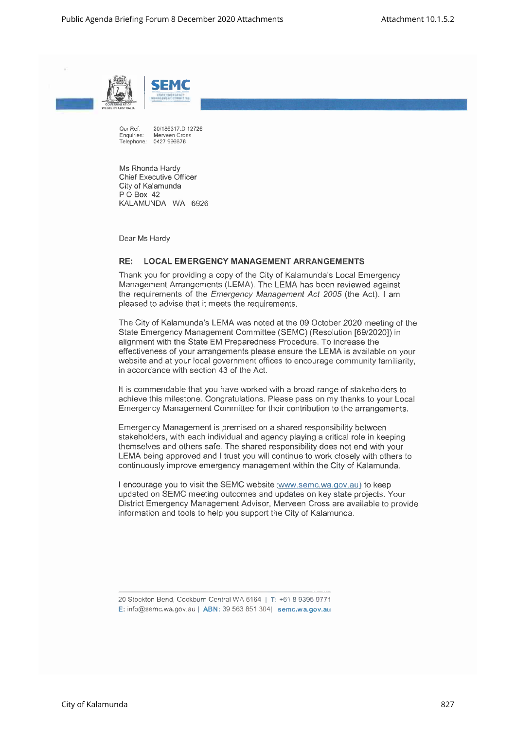



Our Ref: 20/186317:D 12726<br>Enquiries: Merveen Cross Merveen Cross Telephone: 0427 996676

Ms Rhonda Hardy Chief Executive Officer City of Kalamunda P O Box 42 KALAMUNDA WA 6926

Dear Ms Hardy

## **RE: LOCAL EMERGENCYMANAGEMENTARRANGEMENTS**

Thank you for providing a copy of the City of Kalamunda's Local Emergency Management Arrangements (LEMA). The LEMA has been reviewed against the requirements of the *Emergency Management Act* 2005 (the Act). I am pleased to advise that it meets the requirements.

The City of Kalamunda's LEMA was noted at the 09 October 2020 meeting of the State Emergency Management Committee (SEMC) (Resolution [69/2020]) in alignment with the State EM Preparedness Procedure. To increase the effectiveness of your arrangements please ensure the LEMA is available on your website and at your local government offices to encourage community familiarity, in accordance with section 43 of the Act.

It is commendable that you have worked with a broad range of stakeholders to achieve this milestone. Congratulations. Please pass on my thanks to your Local Emergency Management Committee for their contribution to the arrangements.

Emergency Management is premised on a shared responsibility between stakeholders, with each individual and agency playing a critical role in keeping themselves and others safe. The shared responsibility does not end with your LEMA being approved and I trust you will continue to work closely with others to continuously improve emergency management within the City of Kalamunda.

I encourage you to visit the SEMC website (www.semc.wa.gov.au) to keep updated on SEMC meeting outcomes and updates on key state projects. Your District Emergency Management Advisor, Merveen Cross are available to provide information and tools to help you support the City of Kalamunda.

E: [info@semc.wa.gov.a](mailto:info@semc.wa.gov.au)u| ABN: 39 563851304| semc.wa.gov.au

<sup>20</sup>StocktonBend,CockburnCentralWA 6164 <sup>|</sup> T: +61 8 9395 9771